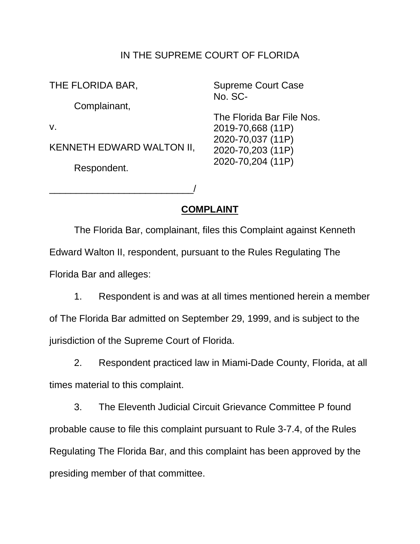## IN THE SUPREME COURT OF FLORIDA

| THE FLORIDA BAR,          | <b>Supreme Court Case</b><br>No. SC-   |
|---------------------------|----------------------------------------|
| Complainant,              |                                        |
|                           | The Florida Bar File Nos.              |
| $V_{\rm r}$               | 2019-70,668 (11P)                      |
| KENNETH EDWARD WALTON II, | 2020-70,037 (11P)<br>2020-70,203 (11P) |
| Respondent.               | 2020-70,204 (11P)                      |

\_\_\_\_\_\_\_\_\_\_\_\_\_\_\_\_\_\_\_\_\_\_\_\_\_\_\_/

**COMPLAINT** 

 The Florida Bar, complainant, files this Complaint against Kenneth Edward Walton II, respondent, pursuant to the Rules Regulating The Florida Bar and alleges:

 1. Respondent is and was at all times mentioned herein a member of The Florida Bar admitted on September 29, 1999, and is subject to the jurisdiction of the Supreme Court of Florida.

 2. Respondent practiced law in Miami-Dade County, Florida, at all times material to this complaint.

 3. The Eleventh Judicial Circuit Grievance Committee P found probable cause to file this complaint pursuant to Rule 3-7.4, of the Rules Regulating The Florida Bar, and this complaint has been approved by the presiding member of that committee.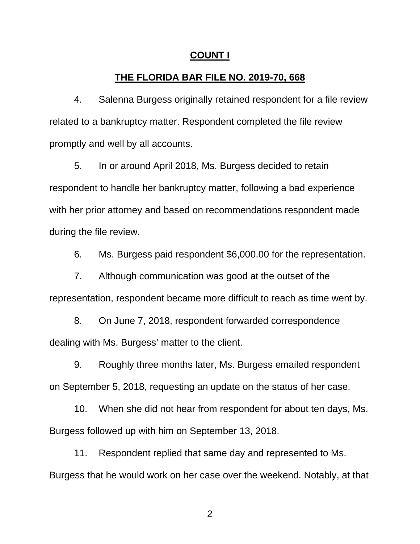### **COUNT I**

## **THE FLORIDA BAR FILE NO. 2019-70, 668**

4. Salenna Burgess originally retained respondent for a file review related to a bankruptcy matter. Respondent completed the file review promptly and well by all accounts.

 5. In or around April 2018, Ms. Burgess decided to retain with her prior attorney and based on recommendations respondent made respondent to handle her bankruptcy matter, following a bad experience during the file review.

6. Ms. Burgess paid respondent \$6,000.00 for the representation.

 7. Although communication was good at the outset of the representation, respondent became more difficult to reach as time went by.

 dealing with Ms. Burgess' matter to the client. 8. On June 7, 2018, respondent forwarded correspondence

9. Roughly three months later, Ms. Burgess emailed respondent on September 5, 2018, requesting an update on the status of her case.

 10. When she did not hear from respondent for about ten days, Ms. Burgess followed up with him on September 13, 2018.

 11. Respondent replied that same day and represented to Ms. Burgess that he would work on her case over the weekend. Notably, at that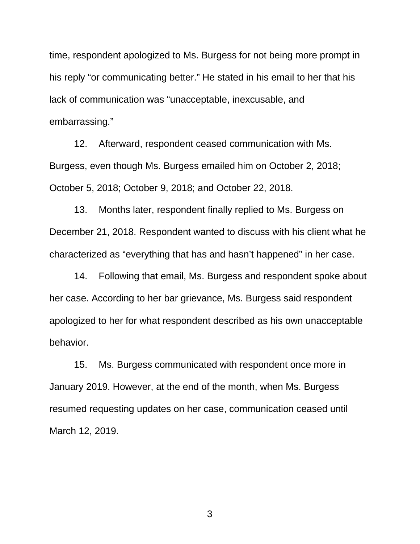time, respondent apologized to Ms. Burgess for not being more prompt in his reply "or communicating better." He stated in his email to her that his lack of communication was "unacceptable, inexcusable, and embarrassing."

 12. Afterward, respondent ceased communication with Ms. Burgess, even though Ms. Burgess emailed him on October 2, 2018; October 5, 2018; October 9, 2018; and October 22, 2018.

 13. Months later, respondent finally replied to Ms. Burgess on December 21, 2018. Respondent wanted to discuss with his client what he characterized as "everything that has and hasn't happened" in her case.

 14. Following that email, Ms. Burgess and respondent spoke about apologized to her for what respondent described as his own unacceptable her case. According to her bar grievance, Ms. Burgess said respondent behavior.

 January 2019. However, at the end of the month, when Ms. Burgess 15. Ms. Burgess communicated with respondent once more in resumed requesting updates on her case, communication ceased until March 12, 2019.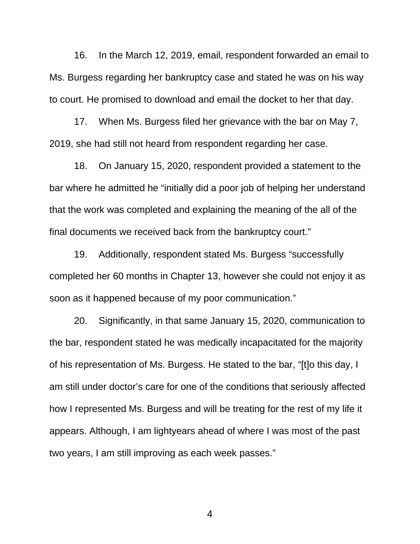Ms. Burgess regarding her bankruptcy case and stated he was on his way to court. He promised to download and email the docket to her that day. 16. In the March 12, 2019, email, respondent forwarded an email to

 17. When Ms. Burgess filed her grievance with the bar on May 7, 2019, she had still not heard from respondent regarding her case.

 18. On January 15, 2020, respondent provided a statement to the that the work was completed and explaining the meaning of the all of the bar where he admitted he "initially did a poor job of helping her understand final documents we received back from the bankruptcy court."

 19. Additionally, respondent stated Ms. Burgess "successfully completed her 60 months in Chapter 13, however she could not enjoy it as soon as it happened because of my poor communication."

 the bar, respondent stated he was medically incapacitated for the majority am still under doctor's care for one of the conditions that seriously affected how I represented Ms. Burgess and will be treating for the rest of my life it appears. Although, I am lightyears ahead of where I was most of the past 20. Significantly, in that same January 15, 2020, communication to of his representation of Ms. Burgess. He stated to the bar, "[t]o this day, I two years, I am still improving as each week passes."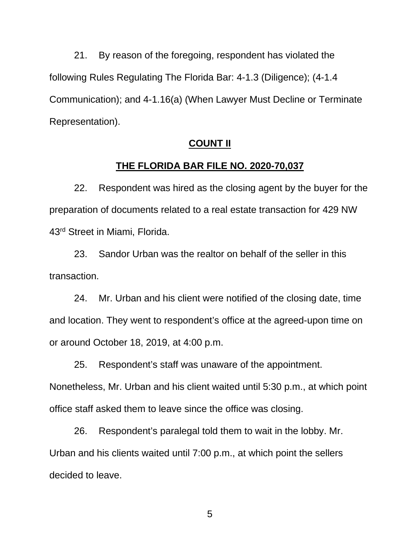21. By reason of the foregoing, respondent has violated the following Rules Regulating The Florida Bar: 4-1.3 (Diligence); (4-1.4 Communication); and 4-1.16(a) (When Lawyer Must Decline or Terminate Representation).

#### **COUNT II**

### **THE FLORIDA BAR FILE NO. 2020-70,037**

 22. Respondent was hired as the closing agent by the buyer for the preparation of documents related to a real estate transaction for 429 NW 43<sup>rd</sup> Street in Miami, Florida.

 23. Sandor Urban was the realtor on behalf of the seller in this transaction.

 24. Mr. Urban and his client were notified of the closing date, time and location. They went to respondent's office at the agreed-upon time on or around October 18, 2019, at 4:00 p.m.

 25. Respondent's staff was unaware of the appointment. Nonetheless, Mr. Urban and his client waited until 5:30 p.m., at which point office staff asked them to leave since the office was closing.

 26. Respondent's paralegal told them to wait in the lobby. Mr. Urban and his clients waited until 7:00 p.m., at which point the sellers decided to leave.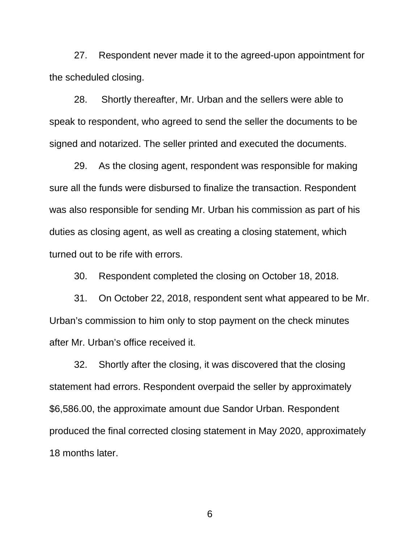27. Respondent never made it to the agreed-upon appointment for the scheduled closing.

28. speak to respondent, who agreed to send the seller the documents to be Shortly thereafter, Mr. Urban and the sellers were able to signed and notarized. The seller printed and executed the documents.

 sure all the funds were disbursed to finalize the transaction. Respondent was also responsible for sending Mr. Urban his commission as part of his duties as closing agent, as well as creating a closing statement, which 29. As the closing agent, respondent was responsible for making turned out to be rife with errors.

30. Respondent completed the closing on October 18, 2018.

 31. On October 22, 2018, respondent sent what appeared to be Mr. Urban's commission to him only to stop payment on the check minutes after Mr. Urban's office received it.

 32. Shortly after the closing, it was discovered that the closing statement had errors. Respondent overpaid the seller by approximately \$6,586.00, the approximate amount due Sandor Urban. Respondent produced the final corrected closing statement in May 2020, approximately 18 months later.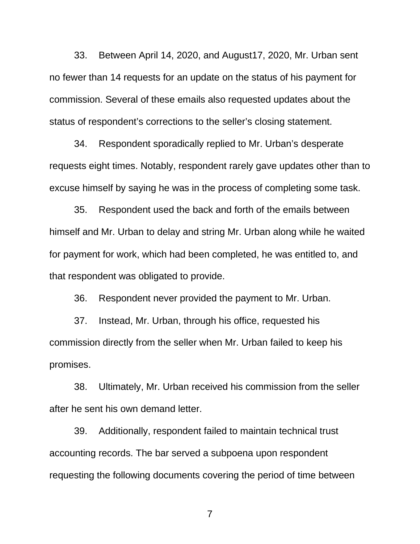33. Between April 14, 2020, and August17, 2020, Mr. Urban sent no fewer than 14 requests for an update on the status of his payment for status of respondent's corrections to the seller's closing statement. commission. Several of these emails also requested updates about the

 34. Respondent sporadically replied to Mr. Urban's desperate requests eight times. Notably, respondent rarely gave updates other than to excuse himself by saying he was in the process of completing some task.

 himself and Mr. Urban to delay and string Mr. Urban along while he waited for payment for work, which had been completed, he was entitled to, and 35. Respondent used the back and forth of the emails between that respondent was obligated to provide.

36. Respondent never provided the payment to Mr. Urban.

 37. Instead, Mr. Urban, through his office, requested his commission directly from the seller when Mr. Urban failed to keep his promises.

 38. Ultimately, Mr. Urban received his commission from the seller after he sent his own demand letter.

 39. Additionally, respondent failed to maintain technical trust accounting records. The bar served a subpoena upon respondent requesting the following documents covering the period of time between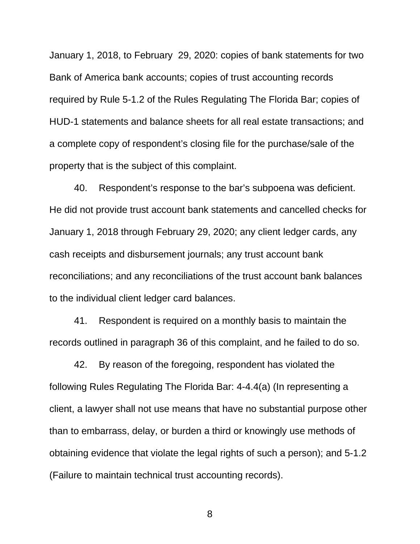January 1, 2018, to February 29, 2020: copies of bank statements for two required by Rule 5-1.2 of the Rules Regulating The Florida Bar; copies of HUD-1 statements and balance sheets for all real estate transactions; and a complete copy of respondent's closing file for the purchase/sale of the property that is the subject of this complaint. Bank of America bank accounts; copies of trust accounting records

 40. Respondent's response to the bar's subpoena was deficient. January 1, 2018 through February 29, 2020; any client ledger cards, any cash receipts and disbursement journals; any trust account bank He did not provide trust account bank statements and cancelled checks for reconciliations; and any reconciliations of the trust account bank balances to the individual client ledger card balances.

 41. Respondent is required on a monthly basis to maintain the records outlined in paragraph 36 of this complaint, and he failed to do so.

 42. By reason of the foregoing, respondent has violated the following Rules Regulating The Florida Bar: 4-4.4(a) (In representing a client, a lawyer shall not use means that have no substantial purpose other than to embarrass, delay, or burden a third or knowingly use methods of obtaining evidence that violate the legal rights of such a person); and 5-1.2 (Failure to maintain technical trust accounting records).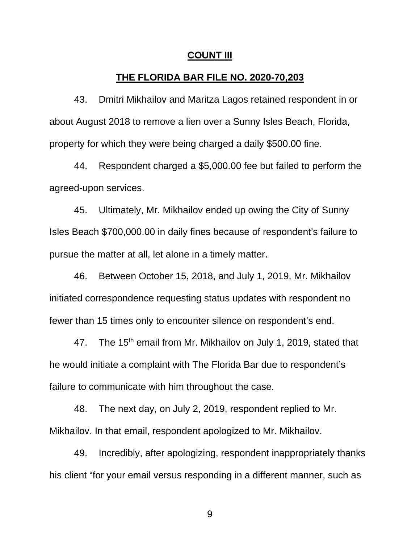#### **COUNT III**

## **THE FLORIDA BAR FILE NO. 2020-70,203**

 43. Dmitri Mikhailov and Maritza Lagos retained respondent in or about August 2018 to remove a lien over a Sunny Isles Beach, Florida, property for which they were being charged a daily \$500.00 fine.

 44. Respondent charged a \$5,000.00 fee but failed to perform the agreed-upon services.

 Isles Beach \$700,000.00 in daily fines because of respondent's failure to pursue the matter at all, let alone in a timely matter. 45. Ultimately, Mr. Mikhailov ended up owing the City of Sunny

 46. Between October 15, 2018, and July 1, 2019, Mr. Mikhailov initiated correspondence requesting status updates with respondent no fewer than 15 times only to encounter silence on respondent's end.

47. The 15<sup>th</sup> email from Mr. Mikhailov on July 1, 2019, stated that he would initiate a complaint with The Florida Bar due to respondent's failure to communicate with him throughout the case.

 48. The next day, on July 2, 2019, respondent replied to Mr. Mikhailov. In that email, respondent apologized to Mr. Mikhailov.

49. Incredibly, after apologizing, respondent inappropriately thanks his client "for your email versus responding in a different manner, such as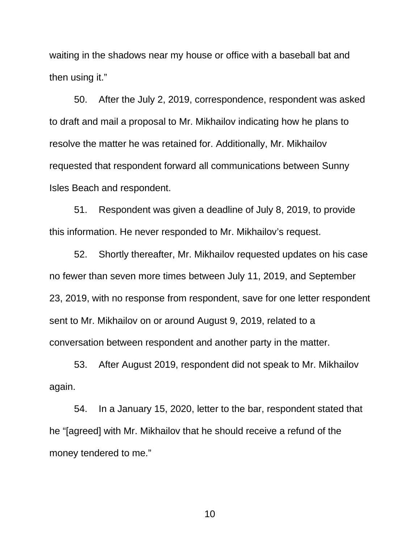then using it." waiting in the shadows near my house or office with a baseball bat and

 50. After the July 2, 2019, correspondence, respondent was asked to draft and mail a proposal to Mr. Mikhailov indicating how he plans to resolve the matter he was retained for. Additionally, Mr. Mikhailov requested that respondent forward all communications between Sunny Isles Beach and respondent.

 51. Respondent was given a deadline of July 8, 2019, to provide this information. He never responded to Mr. Mikhailov's request.

 52. Shortly thereafter, Mr. Mikhailov requested updates on his case 23, 2019, with no response from respondent, save for one letter respondent sent to Mr. Mikhailov on or around August 9, 2019, related to a no fewer than seven more times between July 11, 2019, and September conversation between respondent and another party in the matter.

 53. After August 2019, respondent did not speak to Mr. Mikhailov again.

 54. In a January 15, 2020, letter to the bar, respondent stated that he "[agreed] with Mr. Mikhailov that he should receive a refund of the money tendered to me."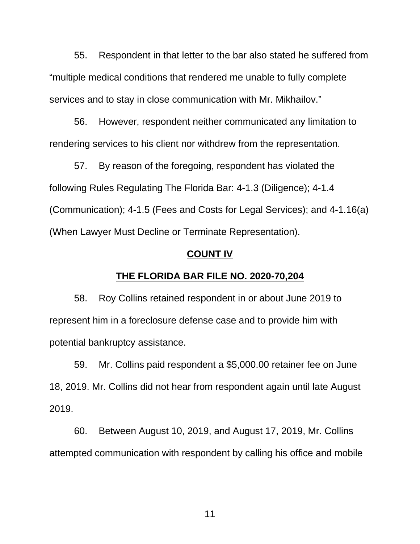55. Respondent in that letter to the bar also stated he suffered from services and to stay in close communication with Mr. Mikhailov." "multiple medical conditions that rendered me unable to fully complete

 rendering services to his client nor withdrew from the representation. 56. However, respondent neither communicated any limitation to

 57. By reason of the foregoing, respondent has violated the following Rules Regulating The Florida Bar: 4-1.3 (Diligence); 4-1.4 (When Lawyer Must Decline or Terminate Representation). (Communication); 4-1.5 (Fees and Costs for Legal Services); and 4-1.16(a)

### **COUNT IV**

## **THE FLORIDA BAR FILE NO. 2020-70,204**

 58. Roy Collins retained respondent in or about June 2019 to represent him in a foreclosure defense case and to provide him with potential bankruptcy assistance.

 59. Mr. Collins paid respondent a \$5,000.00 retainer fee on June 18, 2019. Mr. Collins did not hear from respondent again until late August 2019.

 60. Between August 10, 2019, and August 17, 2019, Mr. Collins attempted communication with respondent by calling his office and mobile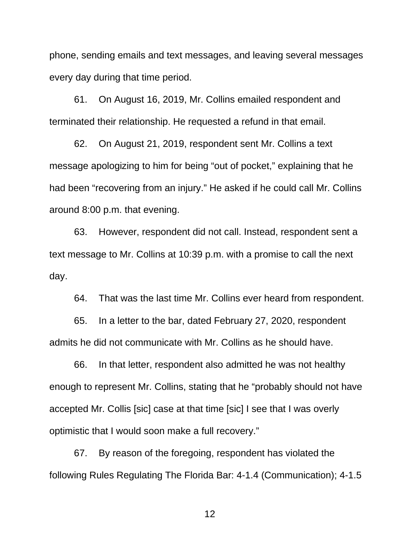every day during that time period. phone, sending emails and text messages, and leaving several messages

 61. On August 16, 2019, Mr. Collins emailed respondent and terminated their relationship. He requested a refund in that email.

 62. On August 21, 2019, respondent sent Mr. Collins a text had been "recovering from an injury." He asked if he could call Mr. Collins message apologizing to him for being "out of pocket," explaining that he around 8:00 p.m. that evening.

 63. However, respondent did not call. Instead, respondent sent a text message to Mr. Collins at 10:39 p.m. with a promise to call the next day.

64. That was the last time Mr. Collins ever heard from respondent.

 65. In a letter to the bar, dated February 27, 2020, respondent admits he did not communicate with Mr. Collins as he should have.

 66. In that letter, respondent also admitted he was not healthy enough to represent Mr. Collins, stating that he "probably should not have accepted Mr. Collis [sic] case at that time [sic] I see that I was overly optimistic that I would soon make a full recovery."

 67. By reason of the foregoing, respondent has violated the following Rules Regulating The Florida Bar: 4-1.4 (Communication); 4-1.5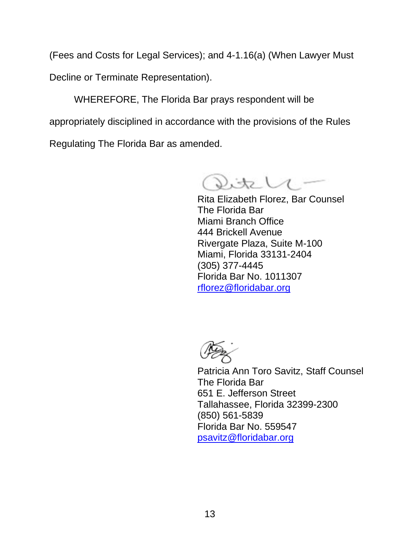(Fees and Costs for Legal Services); and 4-1.16(a) (When Lawyer Must

Decline or Terminate Representation).

WHEREFORE, The Florida Bar prays respondent will be appropriately disciplined in accordance with the provisions of the Rules Regulating The Florida Bar as amended.

Vitele

 Rita Elizabeth Florez, Bar Counsel The Florida Bar 444 Brickell Avenue Miami, Florida 33131-2404 Florida Bar No. 1011307 Miami Branch Office Rivergate Plaza, Suite M-100 (305) 377-4445 rflorez@floridabar.org

 The Florida Bar Tallahassee, Florida 32399-2300 Florida Bar No. 559547 Patricia Ann Toro Savitz, Staff Counsel 651 E. Jefferson Street (850) 561-5839 psavitz@floridabar.org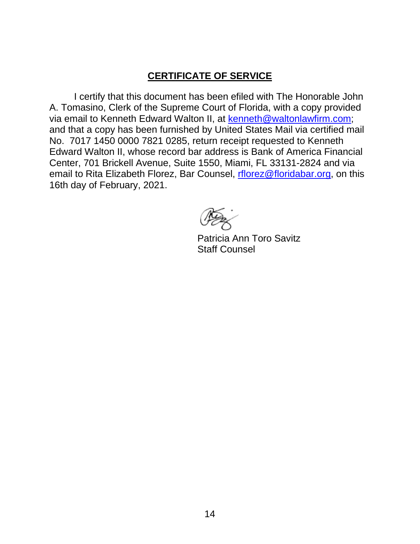## **CERTIFICATE OF SERVICE**

 I certify that this document has been efiled with The Honorable John A. Tomasino, Clerk of the Supreme Court of Florida, with a copy provided via email to Kenneth Edward Walton II, at <u>kenneth@waltonlawfirm.com</u>; and that a copy has been furnished by United States Mail via certified mail Edward Walton II, whose record bar address is Bank of America Financial Center, 701 Brickell Avenue, Suite 1550, Miami, FL 33131-2824 and via email to Rita Elizabeth Florez, Bar Counsel, <u>rflorez@floridabar.org</u>, on this No. 7017 1450 0000 7821 0285, return receipt requested to Kenneth 16th day of February, 2021.

Patricia Ann Toro Savitz Staff Counsel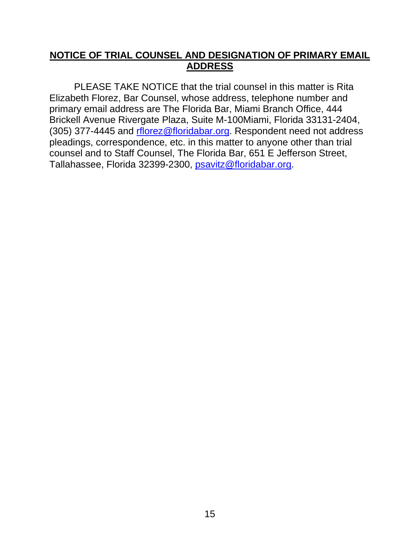## **NOTICE OF TRIAL COUNSEL AND DESIGNATION OF PRIMARY EMAIL ADDRESS**

 Elizabeth Florez, Bar Counsel, whose address, telephone number and Brickell Avenue Rivergate Plaza, Suite M-100Miami, Florida 33131-2404, (305) 377-4445 and retillorez@floridabar.org. Respondent need not address pleadings, correspondence, etc. in this matter to anyone other than trial counsel and to Staff Counsel, The Florida Bar, 651 E Jefferson Street, Tallahassee, Florida 32399-2300, <u>psavitz@floridabar.org</u>. PLEASE TAKE NOTICE that the trial counsel in this matter is Rita primary email address are The Florida Bar, Miami Branch Office, 444